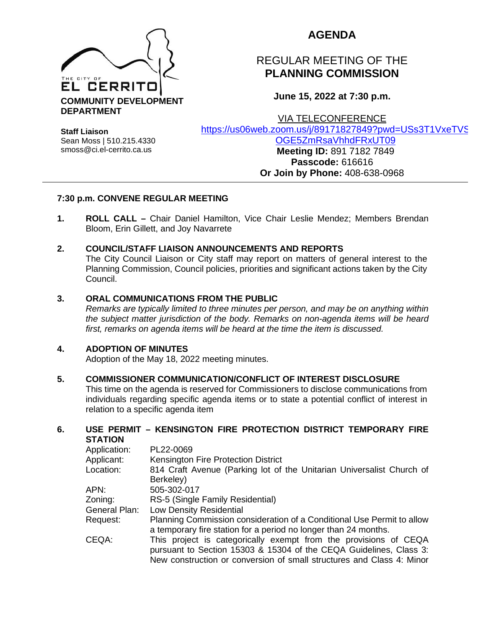

## **AGENDA**

# REGULAR MEETING OF THE **PLANNING COMMISSION**

**June 15, 2022 at 7:30 p.m.**

VIA TELECONFERENCE

**Staff Liaison** Sean Moss | 510.215.4330 smoss@ci.el-cerrito.ca.us

[https://us06web.zoom.us/j/89171827849?pwd=USs3T1VxeTVS](https://us06web.zoom.us/j/89171827849?pwd=USs3T1VxeTVSOGE5ZmRsaVhhdFRxUT09) [OGE5ZmRsaVhhdFRxUT09](https://us06web.zoom.us/j/89171827849?pwd=USs3T1VxeTVSOGE5ZmRsaVhhdFRxUT09)

**Meeting ID:** 891 7182 7849 **Passcode:** 616616 **Or Join by Phone:** 408-638-0968

## **7:30 p.m. CONVENE REGULAR MEETING**

**1. ROLL CALL –** Chair Daniel Hamilton, Vice Chair Leslie Mendez; Members Brendan Bloom, Erin Gillett, and Joy Navarrete

## **2. COUNCIL/STAFF LIAISON ANNOUNCEMENTS AND REPORTS**

The City Council Liaison or City staff may report on matters of general interest to the Planning Commission, Council policies, priorities and significant actions taken by the City Council.

## **3. ORAL COMMUNICATIONS FROM THE PUBLIC**

*Remarks are typically limited to three minutes per person, and may be on anything within the subject matter jurisdiction of the body. Remarks on non-agenda items will be heard first, remarks on agenda items will be heard at the time the item is discussed.* 

## **4. ADOPTION OF MINUTES**

Adoption of the May 18, 2022 meeting minutes.

## **5. COMMISSIONER COMMUNICATION/CONFLICT OF INTEREST DISCLOSURE**

This time on the agenda is reserved for Commissioners to disclose communications from individuals regarding specific agenda items or to state a potential conflict of interest in relation to a specific agenda item

#### **6. USE PERMIT – KENSINGTON FIRE PROTECTION DISTRICT TEMPORARY FIRE STATION**

| Application:  | PL22-0069                                                              |
|---------------|------------------------------------------------------------------------|
| Applicant:    | Kensington Fire Protection District                                    |
| Location:     | 814 Craft Avenue (Parking lot of the Unitarian Universalist Church of  |
|               | Berkeley)                                                              |
| APN:          | 505-302-017                                                            |
| Zoning:       | RS-5 (Single Family Residential)                                       |
| General Plan: | <b>Low Density Residential</b>                                         |
| Request:      | Planning Commission consideration of a Conditional Use Permit to allow |
|               | a temporary fire station for a period no longer than 24 months.        |
| CEQA:         | This project is categorically exempt from the provisions of CEQA       |
|               | pursuant to Section 15303 & 15304 of the CEQA Guidelines, Class 3:     |
|               | New construction or conversion of small structures and Class 4: Minor  |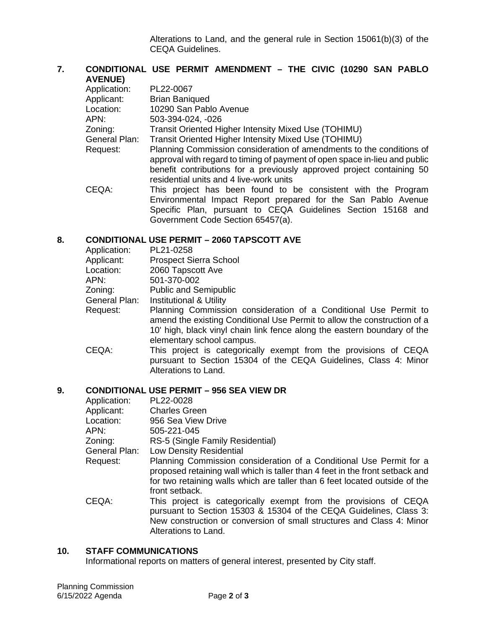Alterations to Land, and the general rule in Section 15061(b)(3) of the CEQA Guidelines.

## **7. CONDITIONAL USE PERMIT AMENDMENT – THE CIVIC (10290 SAN PABLO AVENUE)**

| Application:  | PL22-0067                                                                                                                                                                                                                                                              |
|---------------|------------------------------------------------------------------------------------------------------------------------------------------------------------------------------------------------------------------------------------------------------------------------|
| Applicant:    | <b>Brian Baniqued</b>                                                                                                                                                                                                                                                  |
| Location:     | 10290 San Pablo Avenue                                                                                                                                                                                                                                                 |
| APN:          | 503-394-024, -026                                                                                                                                                                                                                                                      |
| Zoning:       | Transit Oriented Higher Intensity Mixed Use (TOHIMU)                                                                                                                                                                                                                   |
| General Plan: | Transit Oriented Higher Intensity Mixed Use (TOHIMU)                                                                                                                                                                                                                   |
| Request:      | Planning Commission consideration of amendments to the conditions of<br>approval with regard to timing of payment of open space in-lieu and public<br>benefit contributions for a previously approved project containing 50<br>residential units and 4 live-work units |
| CEQA:         | This project has been found to be consistent with the Program<br>Environmental Impact Report prepared for the San Pablo Avenue<br>Specific Plan, pursuant to CEQA Guidelines Section 15168 and<br>Government Code Section 65457(a).                                    |

#### **8. CONDITIONAL USE PERMIT – 2060 TAPSCOTT AVE**

| Application:  | PL21-0258                                                                                                                                                                                                                                             |
|---------------|-------------------------------------------------------------------------------------------------------------------------------------------------------------------------------------------------------------------------------------------------------|
| Applicant:    | <b>Prospect Sierra School</b>                                                                                                                                                                                                                         |
| Location:     | 2060 Tapscott Ave                                                                                                                                                                                                                                     |
| APN:          | 501-370-002                                                                                                                                                                                                                                           |
| Zoning:       | <b>Public and Semipublic</b>                                                                                                                                                                                                                          |
| General Plan: | <b>Institutional &amp; Utility</b>                                                                                                                                                                                                                    |
| Request:      | Planning Commission consideration of a Conditional Use Permit to<br>amend the existing Conditional Use Permit to allow the construction of a<br>10' high, black vinyl chain link fence along the eastern boundary of the<br>elementary school campus. |
| CEQA:         | This project is categorically exempt from the provisions of CEQA<br>pursuant to Section 15304 of the CEQA Guidelines, Class 4: Minor<br>Alterations to Land.                                                                                          |

## **9. CONDITIONAL USE PERMIT – 956 SEA VIEW DR**

| Application:  | PL22-0028                                                                                                                                                                                                                                            |
|---------------|------------------------------------------------------------------------------------------------------------------------------------------------------------------------------------------------------------------------------------------------------|
| Applicant:    | <b>Charles Green</b>                                                                                                                                                                                                                                 |
| Location:     | 956 Sea View Drive                                                                                                                                                                                                                                   |
| APN:          | 505-221-045                                                                                                                                                                                                                                          |
| Zoning:       | RS-5 (Single Family Residential)                                                                                                                                                                                                                     |
| General Plan: | Low Density Residential                                                                                                                                                                                                                              |
| Request:      | Planning Commission consideration of a Conditional Use Permit for a<br>proposed retaining wall which is taller than 4 feet in the front setback and<br>for two retaining walls which are taller than 6 feet located outside of the<br>front setback. |
| CEQA:         | This project is categorically exempt from the provisions of CEQA<br>pursuant to Section 15303 & 15304 of the CEQA Guidelines, Class 3:<br>New construction or conversion of small structures and Class 4: Minor<br>Alterations to Land.              |
|               |                                                                                                                                                                                                                                                      |

## **10. STAFF COMMUNICATIONS**

Informational reports on matters of general interest, presented by City staff.